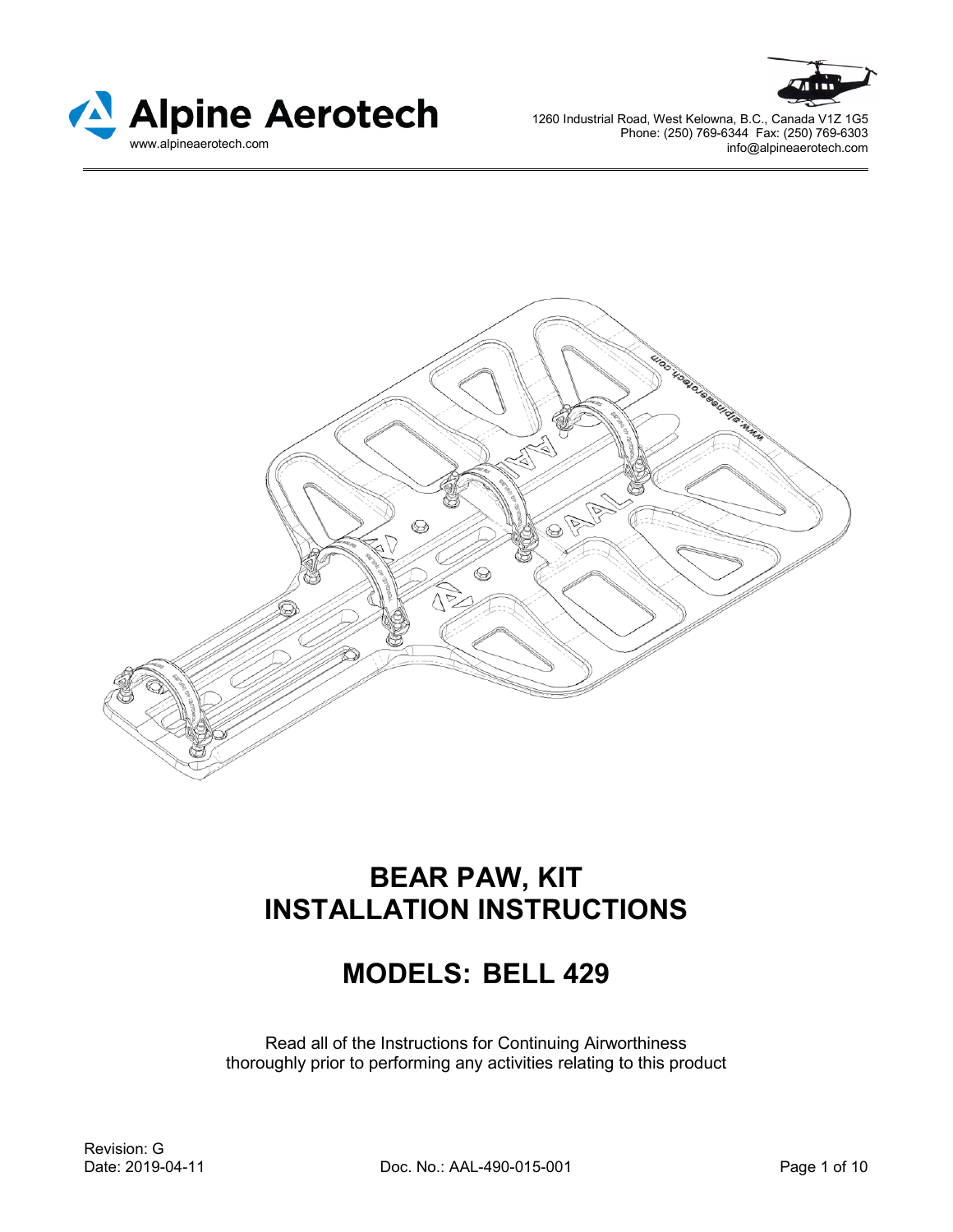





# **BEAR PAW, KIT INSTALLATION INSTRUCTIONS**

# **MODELS: BELL 429**

Read all of the Instructions for Continuing Airworthiness thoroughly prior to performing any activities relating to this product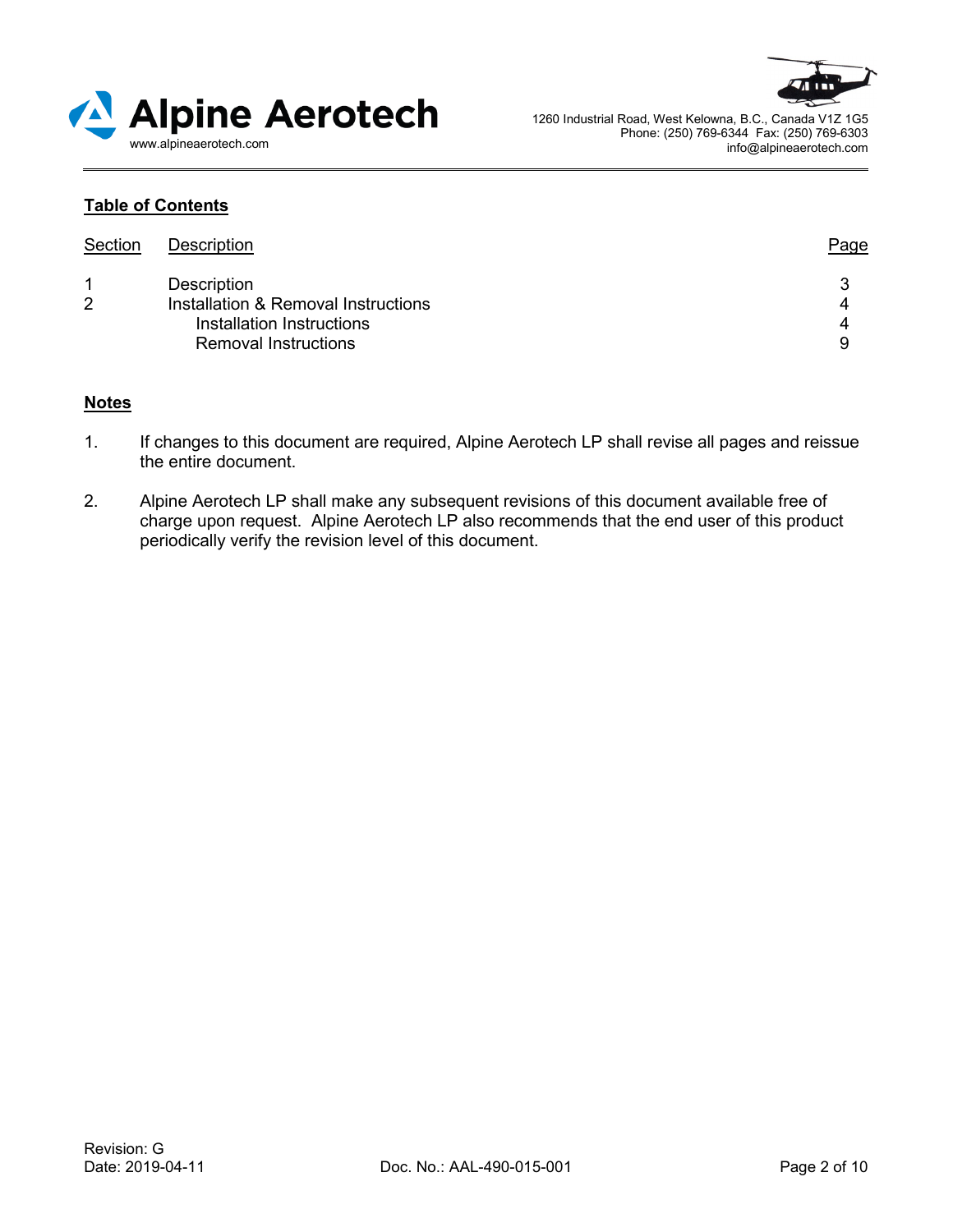



## **Table of Contents**

| Section | Description                                                      | Page   |
|---------|------------------------------------------------------------------|--------|
|         | Description                                                      | 3      |
| 2       | Installation & Removal Instructions<br>Installation Instructions | 4<br>4 |
|         | <b>Removal Instructions</b>                                      | 9      |

#### **Notes**

- 1. If changes to this document are required, Alpine Aerotech LP shall revise all pages and reissue the entire document.
- 2. Alpine Aerotech LP shall make any subsequent revisions of this document available free of charge upon request. Alpine Aerotech LP also recommends that the end user of this product periodically verify the revision level of this document.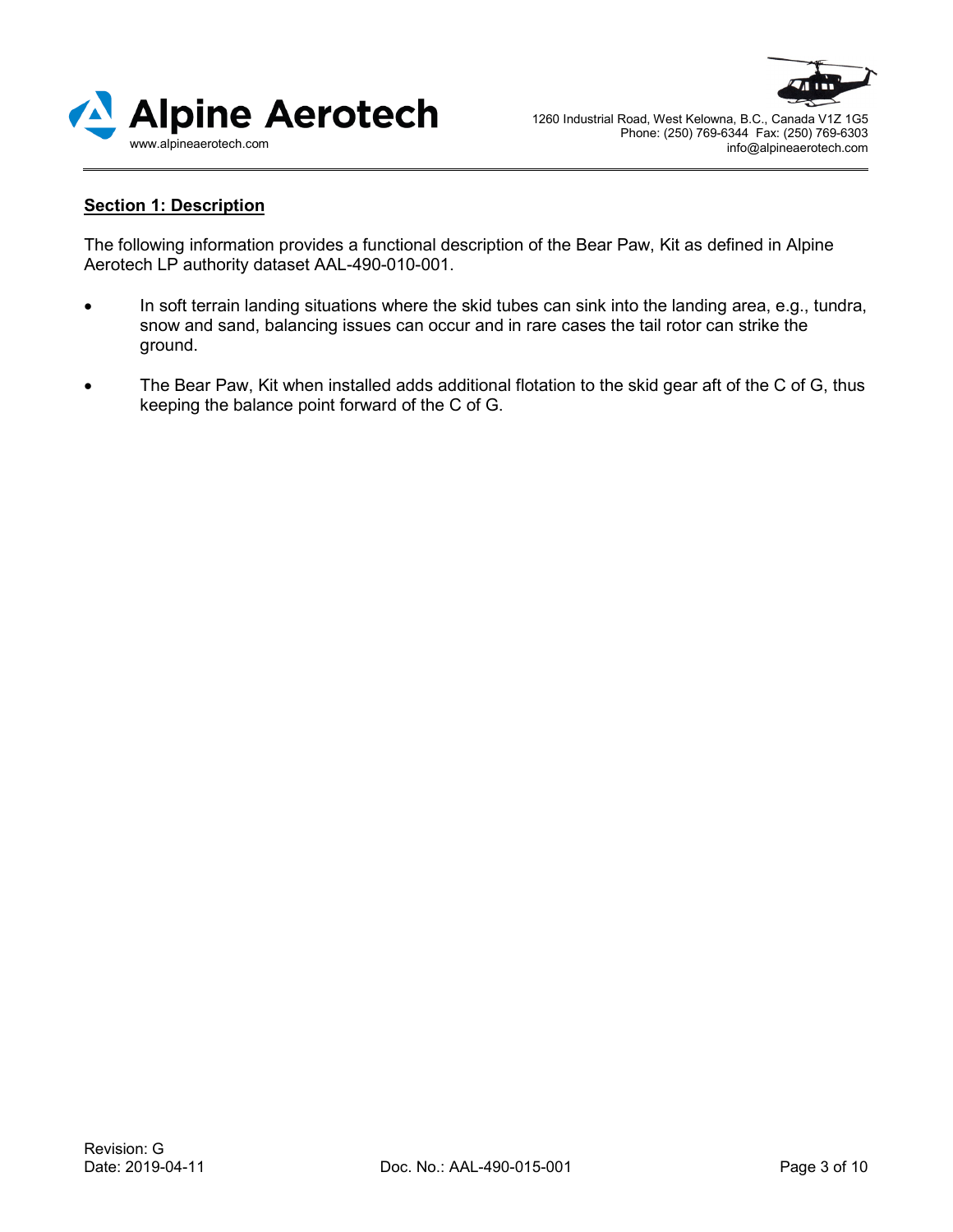



## **Section 1: Description**

The following information provides a functional description of the Bear Paw, Kit as defined in Alpine Aerotech LP authority dataset AAL-490-010-001.

- In soft terrain landing situations where the skid tubes can sink into the landing area, e.g., tundra, snow and sand, balancing issues can occur and in rare cases the tail rotor can strike the ground.
- The Bear Paw, Kit when installed adds additional flotation to the skid gear aft of the C of G, thus keeping the balance point forward of the C of G.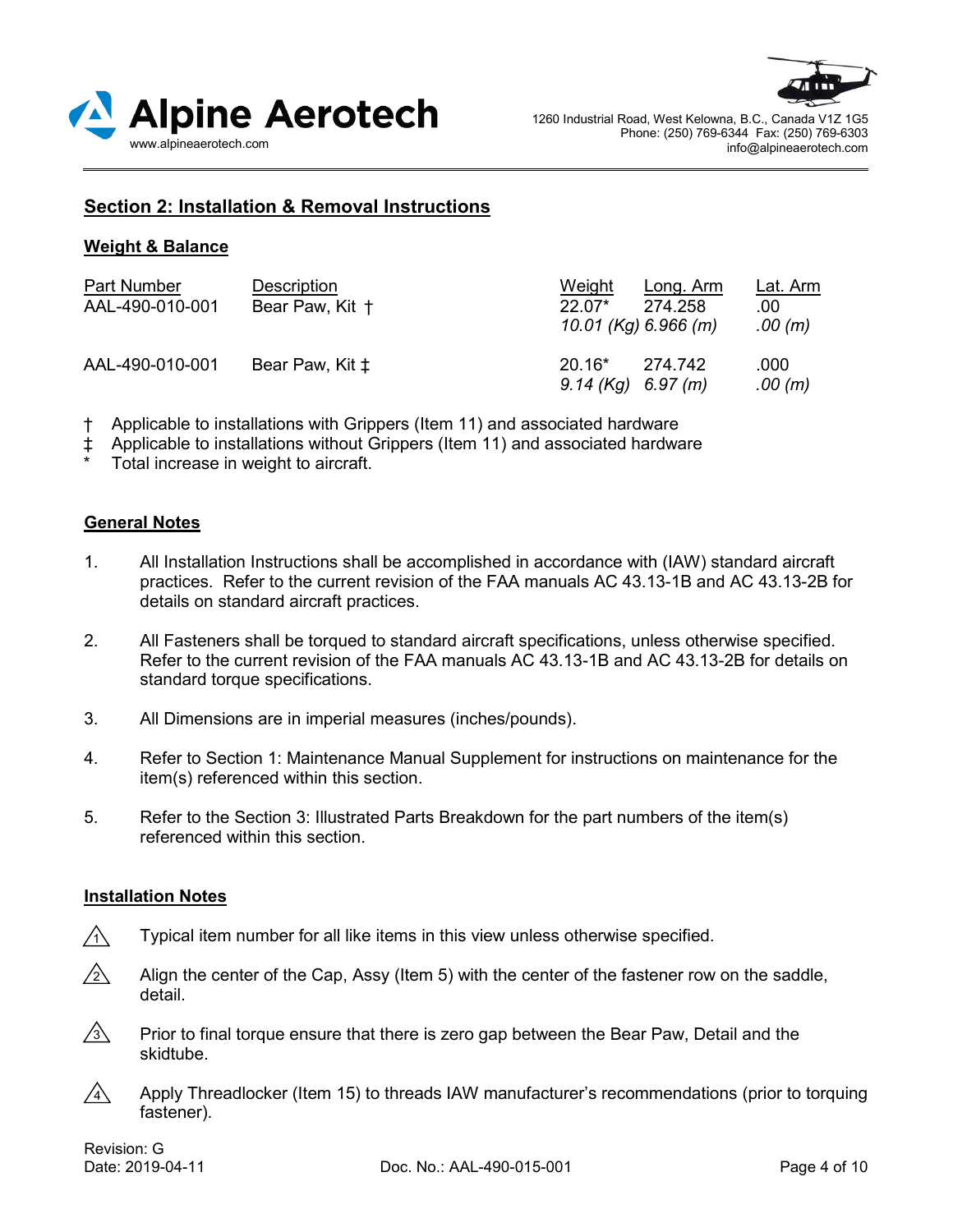



## **Section 2: Installation & Removal Instructions**

### **Weight & Balance**

| <b>Part Number</b><br>AAL-490-010-001 | Description<br>Bear Paw, Kit + | Weight<br>$22.07*$<br>10.01 (Kg) 6.966 (m) | Long. Arm<br>274.258 | <u>Lat. Arm</u><br>.00<br>.00(m) |
|---------------------------------------|--------------------------------|--------------------------------------------|----------------------|----------------------------------|
| AAL-490-010-001                       | Bear Paw, Kit $\ddagger$       | $20.16*$<br>$9.14$ (Kg) 6.97 (m)           | 274.742              | .000<br>.00(m)                   |

- Applicable to installations with Grippers (Item 11) and associated hardware
- ‡ Applicable to installations without Grippers (Item 11) and associated hardware
- Total increase in weight to aircraft.

#### **General Notes**

- 1. All Installation Instructions shall be accomplished in accordance with (IAW) standard aircraft practices. Refer to the current revision of the FAA manuals AC 43.13-1B and AC 43.13-2B for details on standard aircraft practices.
- 2. All Fasteners shall be torqued to standard aircraft specifications, unless otherwise specified. Refer to the current revision of the FAA manuals AC 43.13-1B and AC 43.13-2B for details on standard torque specifications.
- 3. All Dimensions are in imperial measures (inches/pounds).
- 4. Refer to Section 1: Maintenance Manual Supplement for instructions on maintenance for the item(s) referenced within this section.
- 5. Refer to the Section 3: Illustrated Parts Breakdown for the part numbers of the item(s) referenced within this section.

#### **Installation Notes**

- Typical item number for all like items in this view unless otherwise specified.  $\bigwedge$
- Align the center of the Cap, Assy (Item 5) with the center of the fastener row on the saddle, detail.  $\sqrt{2}$
- Prior to final torque ensure that there is zero gap between the Bear Paw, Detail and the skidtube.  $\sqrt{3}$
- Apply Threadlocker (Item 15) to threads IAW manufacturer's recommendations (prior to torquing fastener).  $\sqrt{4}$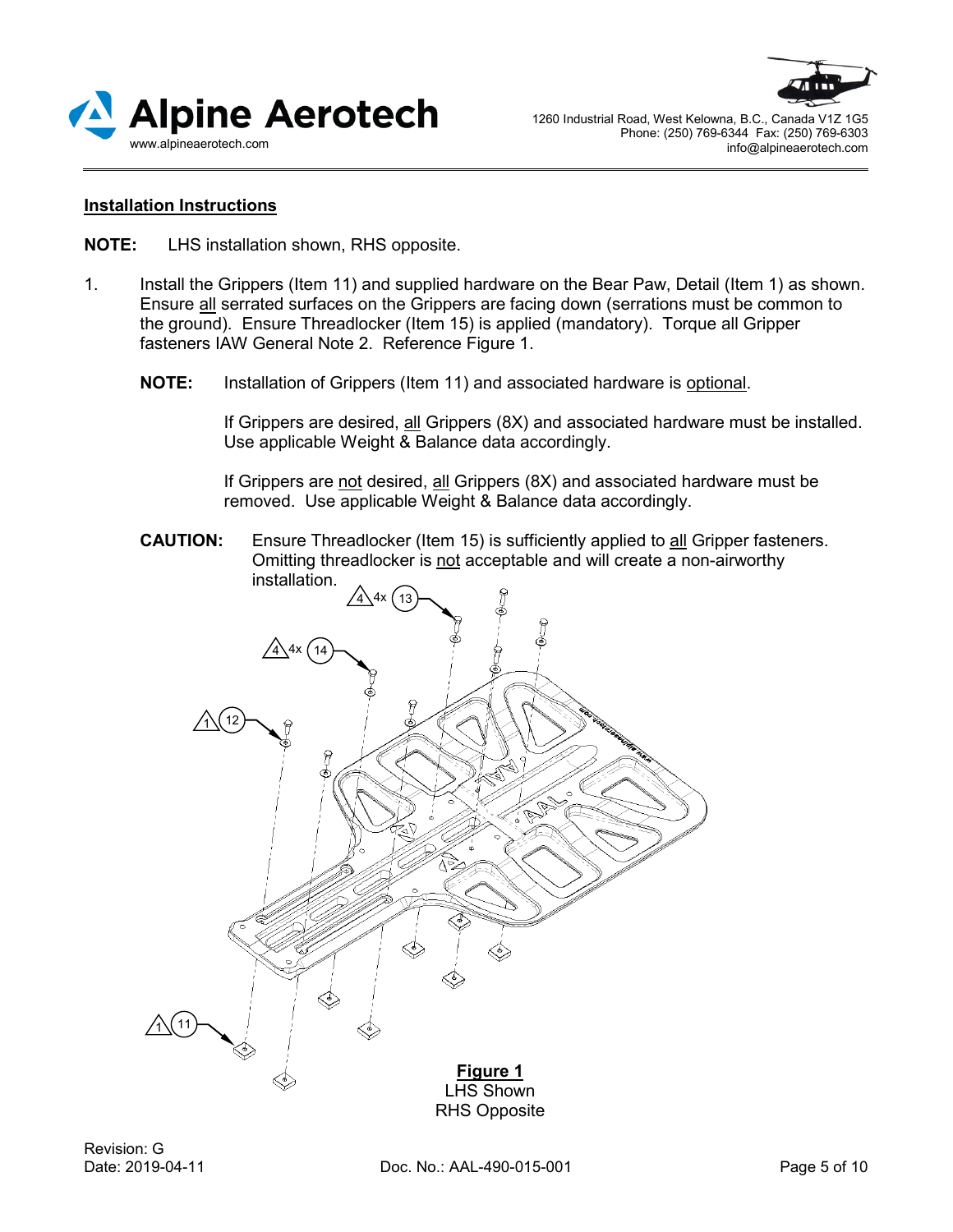



#### **Installation Instructions**

**NOTE:** LHS installation shown, RHS opposite.

- 1. Install the Grippers (Item 11) and supplied hardware on the Bear Paw, Detail (Item 1) as shown. Ensure all serrated surfaces on the Grippers are facing down (serrations must be common to the ground). Ensure Threadlocker (Item 15) is applied (mandatory). Torque all Gripper fasteners IAW General Note 2. Reference Figure 1.
	- **NOTE:** Installation of Grippers (Item 11) and associated hardware is optional.

If Grippers are desired, all Grippers (8X) and associated hardware must be installed. Use applicable Weight & Balance data accordingly.

If Grippers are not desired, all Grippers (8X) and associated hardware must be removed. Use applicable Weight & Balance data accordingly.

**CAUTION:** Ensure Threadlocker (Item 15) is sufficiently applied to all Gripper fasteners. Omitting threadlocker is not acceptable and will create a non-airworthy installation.

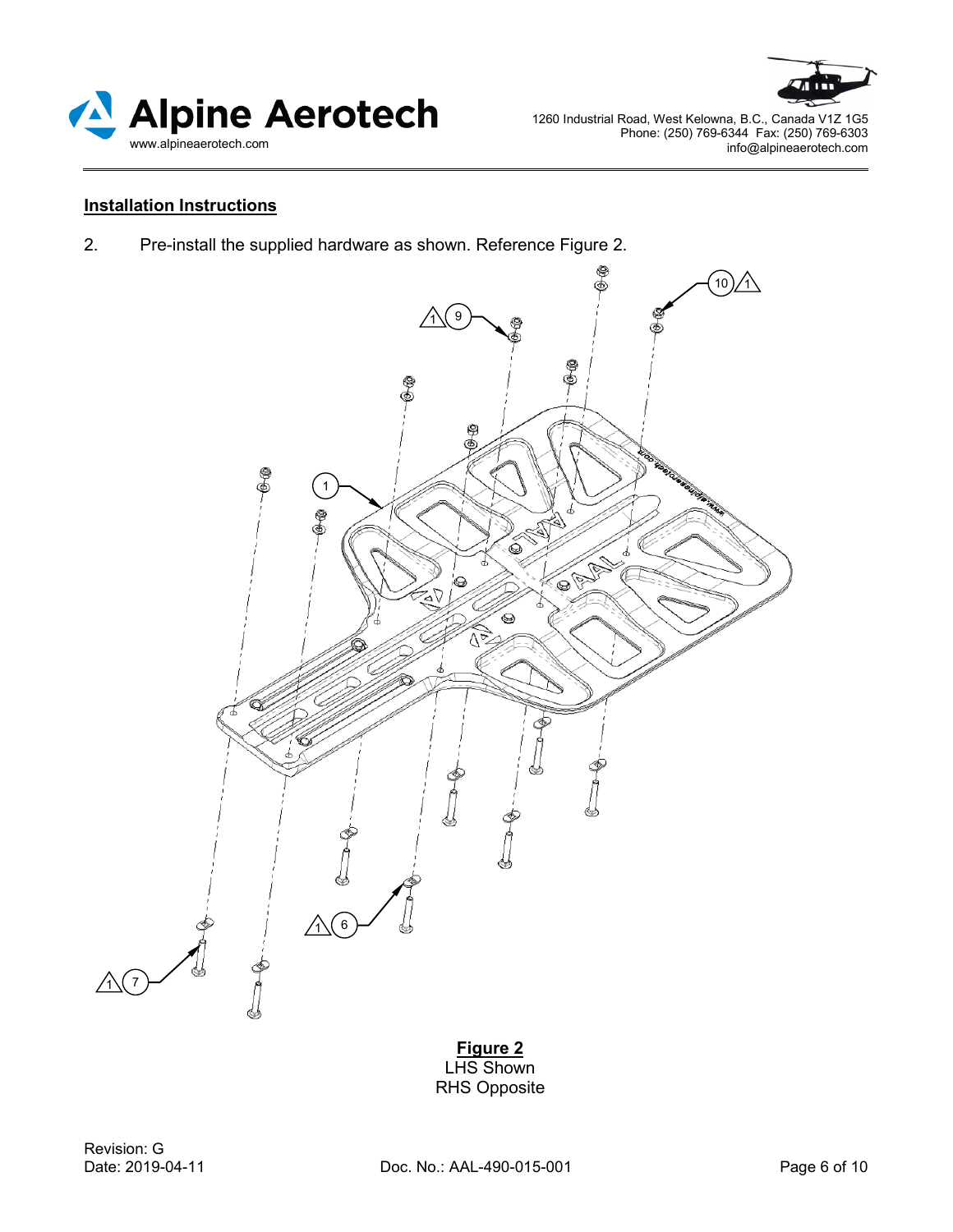



## **Installation Instructions**

2. Pre-install the supplied hardware as shown. Reference Figure 2.



**Figure 2**  LHS Shown RHS Opposite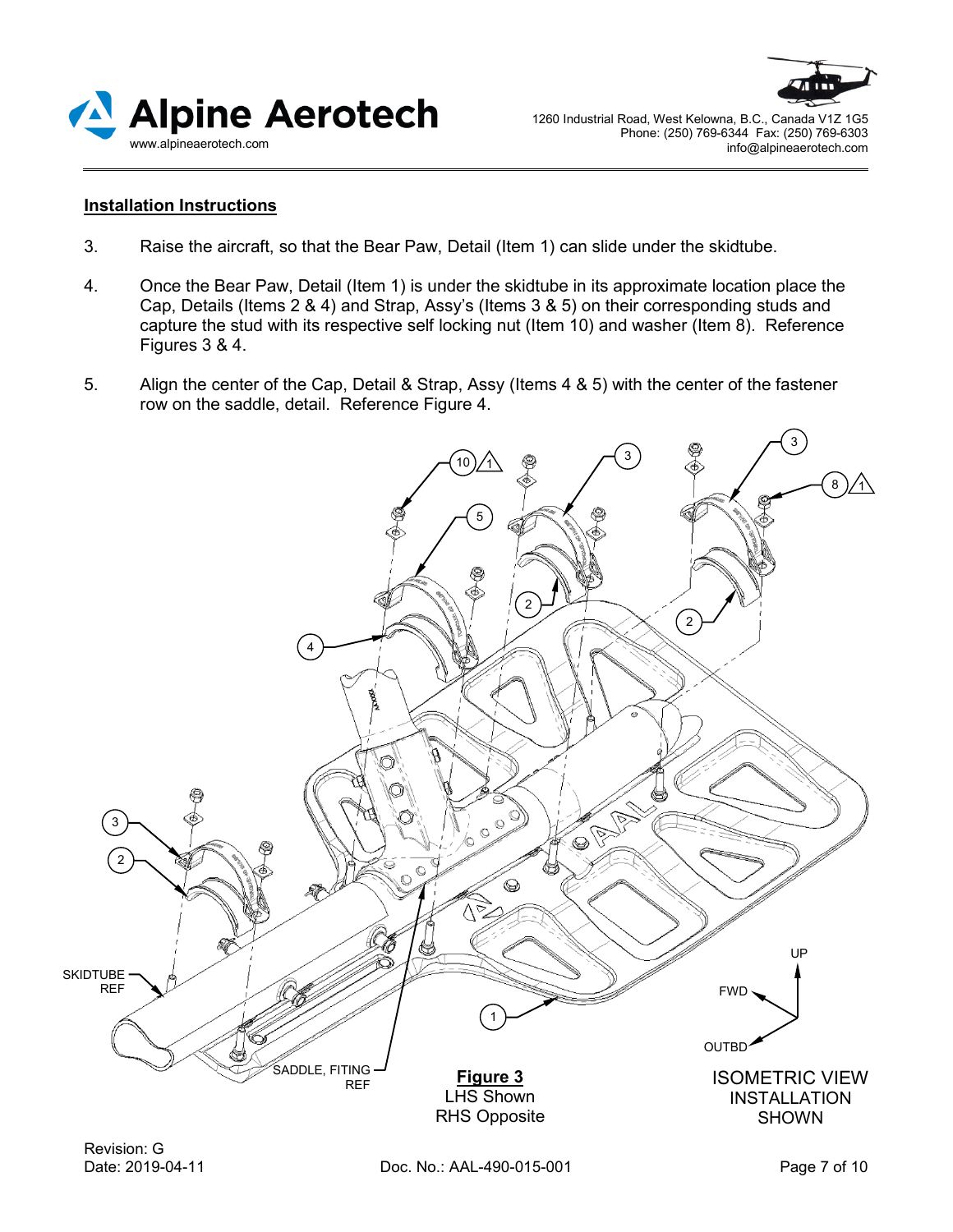



#### **Installation Instructions**

- 3. Raise the aircraft, so that the Bear Paw, Detail (Item 1) can slide under the skidtube.
- 4. Once the Bear Paw, Detail (Item 1) is under the skidtube in its approximate location place the Cap, Details (Items 2 & 4) and Strap, Assy's (Items 3 & 5) on their corresponding studs and capture the stud with its respective self locking nut (Item 10) and washer (Item 8). Reference Figures 3 & 4.
- 5. Align the center of the Cap, Detail & Strap, Assy (Items 4 & 5) with the center of the fastener row on the saddle, detail. Reference Figure 4.

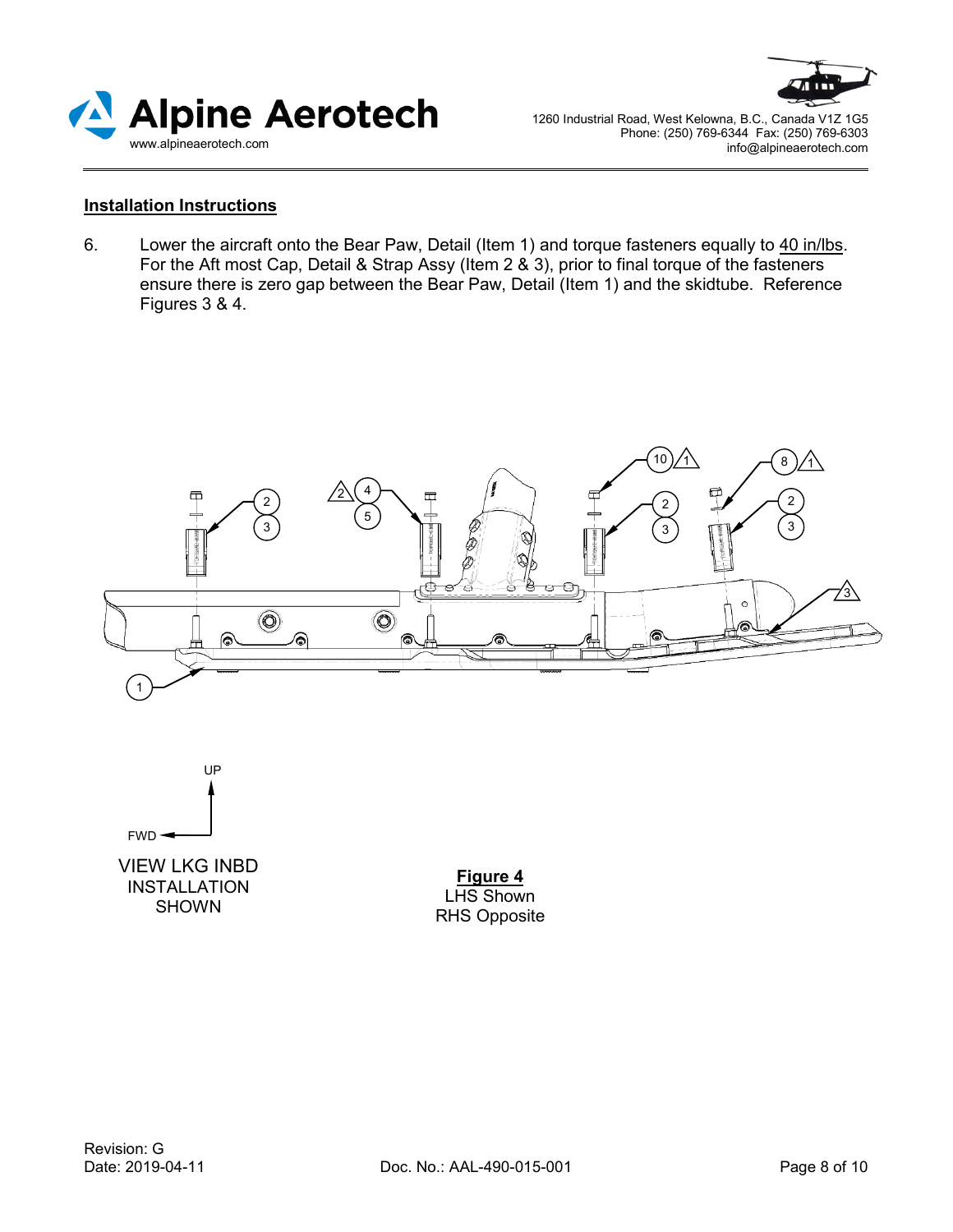



#### **Installation Instructions**

6. Lower the aircraft onto the Bear Paw, Detail (Item 1) and torque fasteners equally to 40 in/lbs. For the Aft most Cap, Detail & Strap Assy (Item 2  $\&$  3), prior to final torque of the fasteners ensure there is zero gap between the Bear Paw, Detail (Item 1) and the skidtube. Reference Figures 3 & 4.





VIEW LKG INBD INSTALLATION SHOWN

**Figure 4** LHS Shown RHS Opposite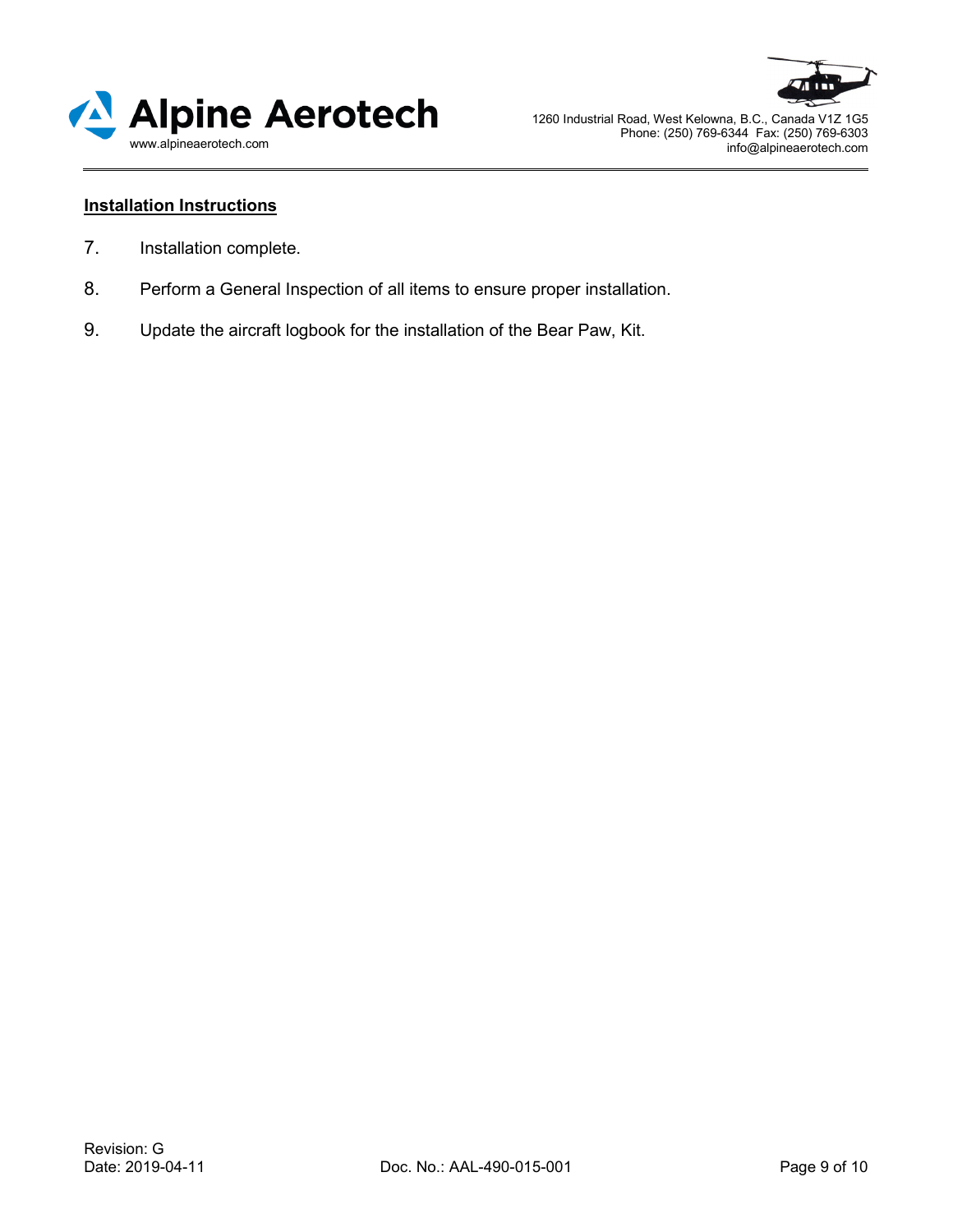



## **Installation Instructions**

- 7. Installation complete.
- 8. Perform a General Inspection of all items to ensure proper installation.
- 9. Update the aircraft logbook for the installation of the Bear Paw, Kit.